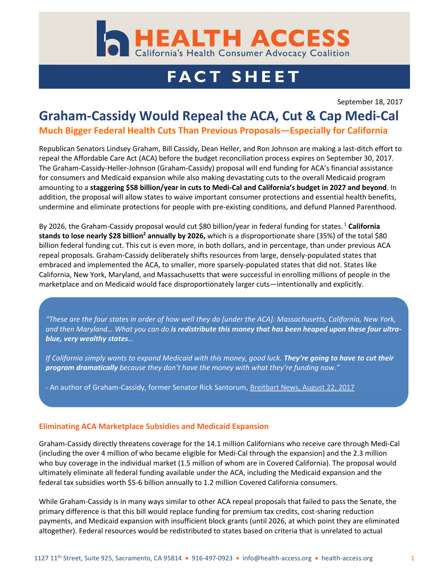

# **FACT SHEET**

September 18, 2017

## **Graham-Cassidy Would Repeal the ACA, Cut & Cap Medi-Cal**

#### **Much Bigger Federal Health Cuts Than Previous Proposals—Especially for California**

Republican Senators Lindsey Graham, Bill Cassidy, Dean Heller, and Ron Johnson are making a last-ditch effort to repeal the Affordable Care Act (ACA) before the budget reconciliation process expires on September 30, 2017. The Graham-Cassidy-Heller-Johnson (Graham-Cassidy) proposal will end funding for ACA's financial assistance for consumers and Medicaid expansion while also making devastating cuts to the overall Medicaid program amounting to a **staggering \$58 billion/year in cuts to Medi-Cal and California's budget in 2027 and beyond**. In addition, the proposal will allow states to waive important consumer protections and essential health benefits, undermine and eliminate protections for people with pre-existing conditions, and defund Planned Parenthood.

By 2026, the Graham-Cassidy proposal would cut \$80 billion/year in federal funding for states. <sup>1</sup> **California stands to lose nearly \$28 billion<sup>2</sup> annually by 2026,** which is a disproportionate share (35%) of the total \$80 billion federal funding cut. This cut is even more, in both dollars, and in percentage, than under previous ACA repeal proposals. Graham-Cassidy deliberately shifts resources from large, densely-populated states that embraced and implemented the ACA, to smaller, more sparsely-populated states that did not. States like California, New York, Maryland, and Massachusetts that were successful in enrolling millions of people in the marketplace and on Medicaid would face disproportionately larger cuts—intentionally and explicitly.

*"These are the four states in order of how well they do [under the ACA]: Massachusetts, California, New York, and then Maryland… What you can do is redistribute this money that has been heaped upon these four ultrablue, very wealthy states…*

*If California simply wants to expand Medicaid with this money, good luck. They're going to have to cut their program dramatically because they don't have the money with what they're funding now."*

- An author of Graham-Cassidy, former Senator Rick Santorum[, Breitbart News, August 22, 2017](http://www.breitbart.com/big-government/2017/08/22/exclusive-rick-santorum-crafting-different-obamacare-repeal-plan-with-lawmakers-it-will-pass-through-the-house-and-the-senate/)

#### **Eliminating ACA Marketplace Subsidies and Medicaid Expansion**

Graham-Cassidy directly threatens coverage for the 14.1 million Californians who receive care through Medi-Cal (including the over 4 million of who became eligible for Medi-Cal through the expansion) and the 2.3 million who buy coverage in the individual market (1.5 million of whom are in Covered California). The proposal would ultimately eliminate all federal funding available under the ACA, including the Medicaid expansion and the federal tax subsidies worth \$5-6 billion annually to 1.2 million Covered California consumers.

While Graham-Cassidy is in many ways similar to other ACA repeal proposals that failed to pass the Senate, the primary difference is that this bill would replace funding for premium tax credits, cost-sharing reduction payments, and Medicaid expansion with insufficient block grants (until 2026, at which point they are eliminated altogether). Federal resources would be redistributed to states based on criteria that is unrelated to actual